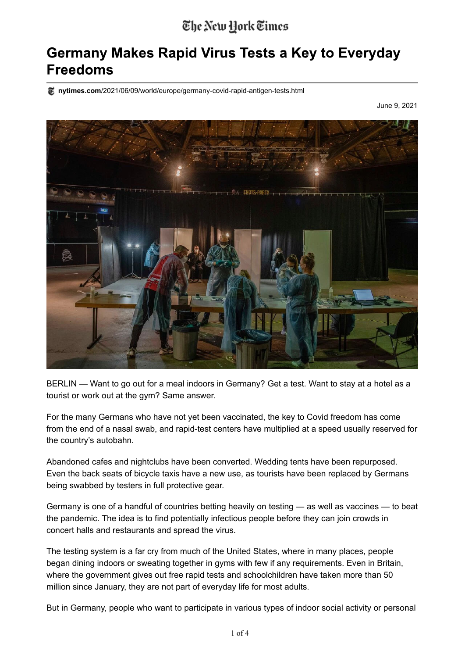## The New York Times

## **Germany Makes Rapid Virus Tests a Key to Everyday Freedoms**

**nytimes.com**/2021/06/09/world/europe/germany-covid-rapid-antigen-tests.html

June 9, 2021



BERLIN — Want to go out for a meal indoors in Germany? Get a test. Want to stay at a hotel as a tourist or work out at the gym? Same answer.

For the many Germans who have not yet been vaccinated, the key to Covid freedom has come from the end of a nasal swab, and rapid-test centers have multiplied at a speed usually reserved for the country's autobahn.

Abandoned cafes and nightclubs have been converted. Wedding tents have been repurposed. Even the back seats of bicycle taxis have a new use, as tourists have been replaced by Germans being swabbed by testers in full protective gear.

Germany is one of a handful of countries betting heavily on testing — as well as vaccines — to beat the pandemic. The idea is to find potentially infectious people before they can join crowds in concert halls and restaurants and spread the virus.

The testing system is a far cry from much of the United States, where in many places, people began dining indoors or sweating together in gyms with few if any requirements. Even in Britain, where the government gives out free rapid tests and schoolchildren have taken more than 50 million since January, they are not part of everyday life for most adults.

But in Germany, people who want to participate in various types of indoor social activity or personal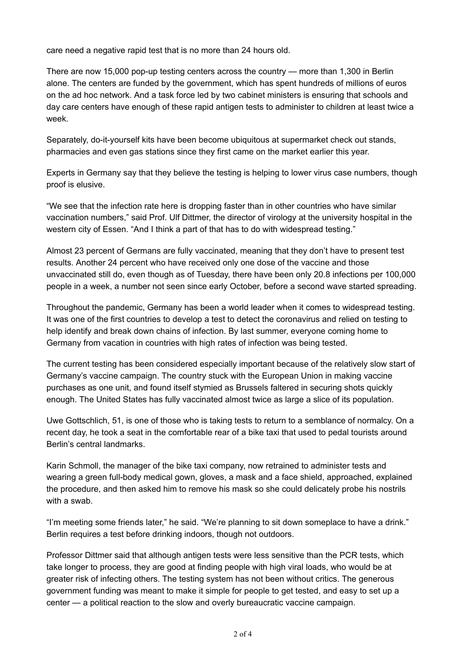care need a negative rapid test that is no more than 24 hours old.

There are now 15,000 pop-up testing centers across the country — more than 1,300 in Berlin alone. The centers are funded by the government, which has spent hundreds of millions of euros on the ad hoc network. And a task force led by two cabinet ministers is ensuring that schools and day care centers have enough of these rapid antigen tests to administer to children at least twice a week.

Separately, do-it-yourself kits have been become ubiquitous at supermarket check out stands, pharmacies and even gas stations since they first came on the market earlier this year.

Experts in Germany say that they believe the testing is helping to lower virus case numbers, though proof is elusive.

"We see that the infection rate here is dropping faster than in other countries who have similar vaccination numbers," said Prof. Ulf Dittmer, the director of virology at the university hospital in the western city of Essen. "And I think a part of that has to do with widespread testing."

Almost 23 percent of Germans are fully vaccinated, meaning that they don't have to present test results. Another 24 percent who have received only one dose of the vaccine and those unvaccinated still do, even though as of Tuesday, there have been only 20.8 infections per 100,000 people in a week, a number not seen since early October, before a second wave started spreading.

Throughout the pandemic, Germany has been a world leader when it comes to widespread testing. It was one of the first countries to develop a test to detect the coronavirus and relied on testing to help identify and break down chains of infection. By last summer, everyone coming home to Germany from vacation in countries with high rates of infection was being tested.

The current testing has been considered especially important because of the relatively slow start of Germany's vaccine campaign. The country stuck with the European Union in making vaccine purchases as one unit, and found itself stymied as Brussels faltered in securing shots quickly enough. The United States has fully vaccinated almost twice as large a slice of its population.

Uwe Gottschlich, 51, is one of those who is taking tests to return to a semblance of normalcy. On a recent day, he took a seat in the comfortable rear of a bike taxi that used to pedal tourists around Berlin's central landmarks.

Karin Schmoll, the manager of the bike taxi company, now retrained to administer tests and wearing a green full-body medical gown, gloves, a mask and a face shield, approached, explained the procedure, and then asked him to remove his mask so she could delicately probe his nostrils with a swab.

"I'm meeting some friends later," he said. "We're planning to sit down someplace to have a drink." Berlin requires a test before drinking indoors, though not outdoors.

Professor Dittmer said that although antigen tests were less sensitive than the PCR tests, which take longer to process, they are good at finding people with high viral loads, who would be at greater risk of infecting others. The testing system has not been without critics. The generous government funding was meant to make it simple for people to get tested, and easy to set up a center — a political reaction to the slow and overly bureaucratic vaccine campaign.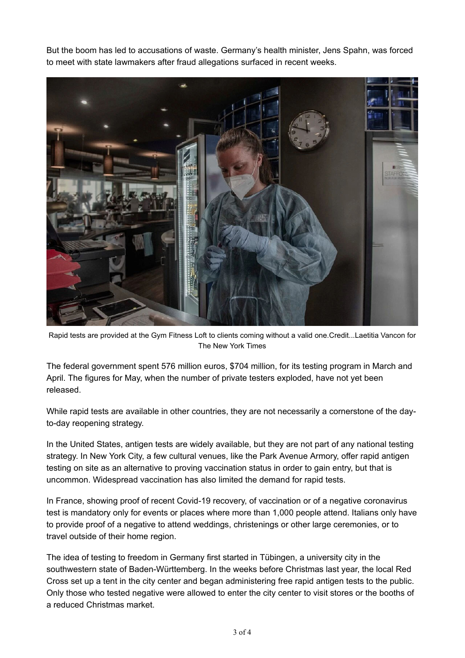But the boom has led to accusations of waste. Germany's health minister, Jens Spahn, was forced to meet with state lawmakers after fraud allegations surfaced in recent weeks.



Rapid tests are provided at the Gym Fitness Loft to clients coming without a valid one.Credit...Laetitia Vancon for The New York Times

The federal government spent 576 million euros, \$704 million, for its testing program in March and April. The figures for May, when the number of private testers exploded, have not yet been released.

While rapid tests are available in other countries, they are not necessarily a cornerstone of the dayto-day reopening strategy.

In the United States, antigen tests are widely available, but they are not part of any national testing strategy. In New York City, a few cultural venues, like the Park Avenue Armory, offer rapid antigen testing on site as an alternative to proving vaccination status in order to gain entry, but that is uncommon. Widespread vaccination has also limited the demand for rapid tests.

In France, showing proof of recent Covid-19 recovery, of vaccination or of a negative coronavirus test is mandatory only for events or places where more than 1,000 people attend. Italians only have to provide proof of a negative to attend weddings, christenings or other large ceremonies, or to travel outside of their home region.

The idea of testing to freedom in Germany first started in Tübingen, a university city in the southwestern state of Baden-Württemberg. In the weeks before Christmas last year, the local Red Cross set up a tent in the city center and began administering free rapid antigen tests to the public. Only those who tested negative were allowed to enter the city center to visit stores or the booths of a reduced Christmas market.